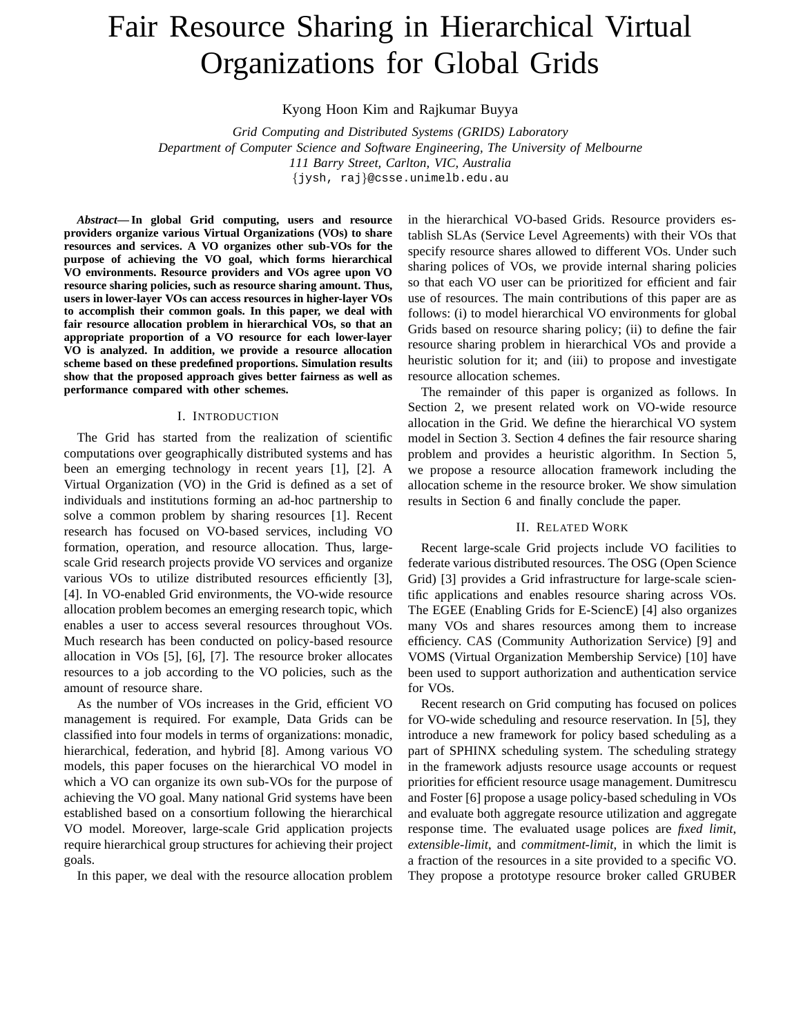# Fair Resource Sharing in Hierarchical Virtual Organizations for Global Grids

Kyong Hoon Kim and Rajkumar Buyya

*Grid Computing and Distributed Systems (GRIDS) Laboratory Department of Computer Science and Software Engineering, The University of Melbourne 111 Barry Street, Carlton, VIC, Australia* {jysh, raj}@csse.unimelb.edu.au

*Abstract***— In global Grid computing, users and resource providers organize various Virtual Organizations (VOs) to share resources and services. A VO organizes other sub-VOs for the purpose of achieving the VO goal, which forms hierarchical VO environments. Resource providers and VOs agree upon VO resource sharing policies, such as resource sharing amount. Thus, users in lower-layer VOs can access resources in higher-layer VOs to accomplish their common goals. In this paper, we deal with fair resource allocation problem in hierarchical VOs, so that an appropriate proportion of a VO resource for each lower-layer VO is analyzed. In addition, we provide a resource allocation scheme based on these predefined proportions. Simulation results show that the proposed approach gives better fairness as well as performance compared with other schemes.**

## I. INTRODUCTION

The Grid has started from the realization of scientific computations over geographically distributed systems and has been an emerging technology in recent years [1], [2]. A Virtual Organization (VO) in the Grid is defined as a set of individuals and institutions forming an ad-hoc partnership to solve a common problem by sharing resources [1]. Recent research has focused on VO-based services, including VO formation, operation, and resource allocation. Thus, largescale Grid research projects provide VO services and organize various VOs to utilize distributed resources efficiently [3], [4]. In VO-enabled Grid environments, the VO-wide resource allocation problem becomes an emerging research topic, which enables a user to access several resources throughout VOs. Much research has been conducted on policy-based resource allocation in VOs [5], [6], [7]. The resource broker allocates resources to a job according to the VO policies, such as the amount of resource share.

As the number of VOs increases in the Grid, efficient VO management is required. For example, Data Grids can be classified into four models in terms of organizations: monadic, hierarchical, federation, and hybrid [8]. Among various VO models, this paper focuses on the hierarchical VO model in which a VO can organize its own sub-VOs for the purpose of achieving the VO goal. Many national Grid systems have been established based on a consortium following the hierarchical VO model. Moreover, large-scale Grid application projects require hierarchical group structures for achieving their project goals.

In this paper, we deal with the resource allocation problem

in the hierarchical VO-based Grids. Resource providers establish SLAs (Service Level Agreements) with their VOs that specify resource shares allowed to different VOs. Under such sharing polices of VOs, we provide internal sharing policies so that each VO user can be prioritized for efficient and fair use of resources. The main contributions of this paper are as follows: (i) to model hierarchical VO environments for global Grids based on resource sharing policy; (ii) to define the fair resource sharing problem in hierarchical VOs and provide a heuristic solution for it; and (iii) to propose and investigate resource allocation schemes.

The remainder of this paper is organized as follows. In Section 2, we present related work on VO-wide resource allocation in the Grid. We define the hierarchical VO system model in Section 3. Section 4 defines the fair resource sharing problem and provides a heuristic algorithm. In Section 5, we propose a resource allocation framework including the allocation scheme in the resource broker. We show simulation results in Section 6 and finally conclude the paper.

## II. RELATED WORK

Recent large-scale Grid projects include VO facilities to federate various distributed resources. The OSG (Open Science Grid) [3] provides a Grid infrastructure for large-scale scientific applications and enables resource sharing across VOs. The EGEE (Enabling Grids for E-SciencE) [4] also organizes many VOs and shares resources among them to increase efficiency. CAS (Community Authorization Service) [9] and VOMS (Virtual Organization Membership Service) [10] have been used to support authorization and authentication service for VOs.

Recent research on Grid computing has focused on polices for VO-wide scheduling and resource reservation. In [5], they introduce a new framework for policy based scheduling as a part of SPHINX scheduling system. The scheduling strategy in the framework adjusts resource usage accounts or request priorities for efficient resource usage management. Dumitrescu and Foster [6] propose a usage policy-based scheduling in VOs and evaluate both aggregate resource utilization and aggregate response time. The evaluated usage polices are *fixed limit*, *extensible-limit*, and *commitment-limit*, in which the limit is a fraction of the resources in a site provided to a specific VO. They propose a prototype resource broker called GRUBER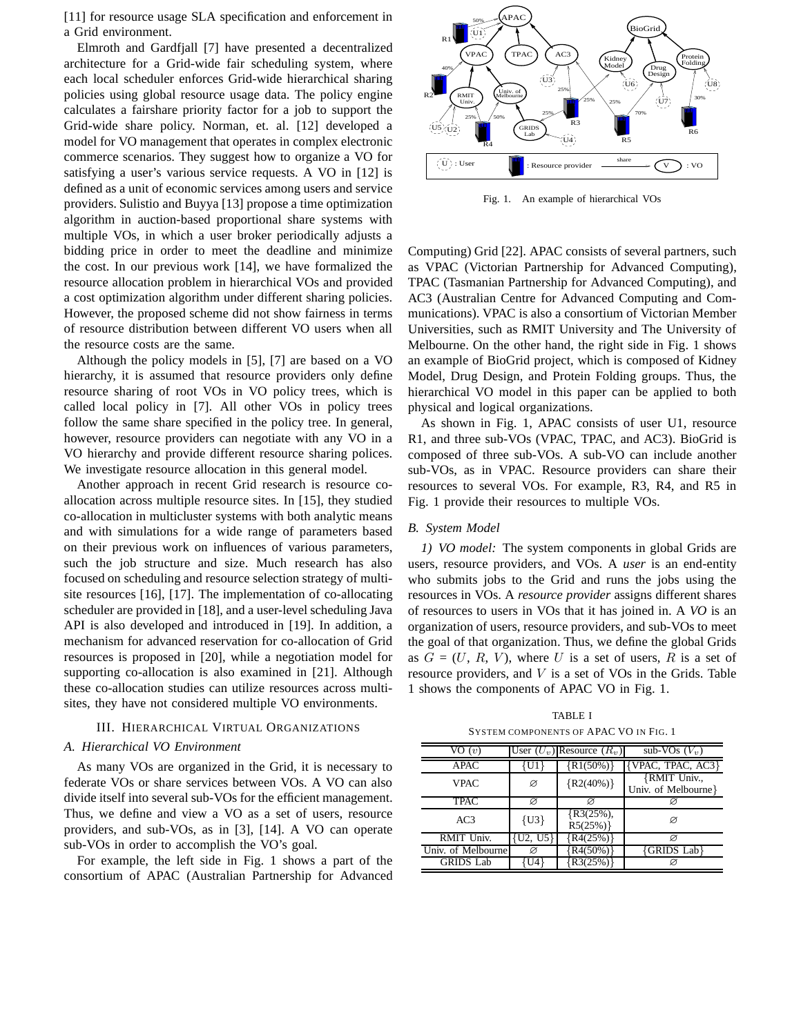[11] for resource usage SLA specification and enforcement in a Grid environment.

Elmroth and Gardfjall [7] have presented a decentralized architecture for a Grid-wide fair scheduling system, where each local scheduler enforces Grid-wide hierarchical sharing policies using global resource usage data. The policy engine calculates a fairshare priority factor for a job to support the Grid-wide share policy. Norman, et. al. [12] developed a model for VO management that operates in complex electronic commerce scenarios. They suggest how to organize a VO for satisfying a user's various service requests. A VO in [12] is defined as a unit of economic services among users and service providers. Sulistio and Buyya [13] propose a time optimization algorithm in auction-based proportional share systems with multiple VOs, in which a user broker periodically adjusts a bidding price in order to meet the deadline and minimize the cost. In our previous work [14], we have formalized the resource allocation problem in hierarchical VOs and provided a cost optimization algorithm under different sharing policies. However, the proposed scheme did not show fairness in terms of resource distribution between different VO users when all the resource costs are the same.

Although the policy models in [5], [7] are based on a VO hierarchy, it is assumed that resource providers only define resource sharing of root VOs in VO policy trees, which is called local policy in [7]. All other VOs in policy trees follow the same share specified in the policy tree. In general, however, resource providers can negotiate with any VO in a VO hierarchy and provide different resource sharing polices. We investigate resource allocation in this general model.

Another approach in recent Grid research is resource coallocation across multiple resource sites. In [15], they studied co-allocation in multicluster systems with both analytic means and with simulations for a wide range of parameters based on their previous work on influences of various parameters, such the job structure and size. Much research has also focused on scheduling and resource selection strategy of multisite resources [16], [17]. The implementation of co-allocating scheduler are provided in [18], and a user-level scheduling Java API is also developed and introduced in [19]. In addition, a mechanism for advanced reservation for co-allocation of Grid resources is proposed in [20], while a negotiation model for supporting co-allocation is also examined in [21]. Although these co-allocation studies can utilize resources across multisites, they have not considered multiple VO environments.

# III. HIERARCHICAL VIRTUAL ORGANIZATIONS

# *A. Hierarchical VO Environment*

As many VOs are organized in the Grid, it is necessary to federate VOs or share services between VOs. A VO can also divide itself into several sub-VOs for the efficient management. Thus, we define and view a VO as a set of users, resource providers, and sub-VOs, as in [3], [14]. A VO can operate sub-VOs in order to accomplish the VO's goal.

For example, the left side in Fig. 1 shows a part of the consortium of APAC (Australian Partnership for Advanced



Fig. 1. An example of hierarchical VOs

Computing) Grid [22]. APAC consists of several partners, such as VPAC (Victorian Partnership for Advanced Computing), TPAC (Tasmanian Partnership for Advanced Computing), and AC3 (Australian Centre for Advanced Computing and Communications). VPAC is also a consortium of Victorian Member Universities, such as RMIT University and The University of Melbourne. On the other hand, the right side in Fig. 1 shows an example of BioGrid project, which is composed of Kidney Model, Drug Design, and Protein Folding groups. Thus, the hierarchical VO model in this paper can be applied to both physical and logical organizations.

As shown in Fig. 1, APAC consists of user U1, resource R1, and three sub-VOs (VPAC, TPAC, and AC3). BioGrid is composed of three sub-VOs. A sub-VO can include another sub-VOs, as in VPAC. Resource providers can share their resources to several VOs. For example, R3, R4, and R5 in Fig. 1 provide their resources to multiple VOs.

## *B. System Model*

*1) VO model:* The system components in global Grids are users, resource providers, and VOs. A *user* is an end-entity who submits jobs to the Grid and runs the jobs using the resources in VOs. A *resource provider* assigns different shares of resources to users in VOs that it has joined in. A *VO* is an organization of users, resource providers, and sub-VOs to meet the goal of that organization. Thus, we define the global Grids as  $G = (U, R, V)$ , where U is a set of users, R is a set of resource providers, and V is a set of VOs in the Grids. Table 1 shows the components of APAC VO in Fig. 1.

TABLE I SYSTEM COMPONENTS OF APAC VO IN FIG. 1

| VO $(v)$           |          | User $(U_v)$ Resource $(R_v)$ | sub-VOs $(V_v)$                    |
|--------------------|----------|-------------------------------|------------------------------------|
| <b>APAC</b>        |          | $\{R1(50%)\}$                 | $\{VPAC, TPAC, AC3\}$              |
| <b>VPAC</b>        | Ø        | ${R2(40%)}$                   | {RMIT Univ.,<br>Univ. of Melbourne |
| <b>TPAC</b>        | Ø        | Ø                             | Ø                                  |
| AC <sub>3</sub>    | $\{U3\}$ | $\{R3(25\%)$ ,<br>R5(25%)}    | Ø                                  |
| RMIT Univ.         | {U2, U5} | ${R4(25%)}$                   | Ø                                  |
| Univ. of Melbourne | Ø        | R4(50%)                       | {GRIDS Lab}                        |
| <b>GRIDS</b> Lab   | U4       | R3(25%)                       |                                    |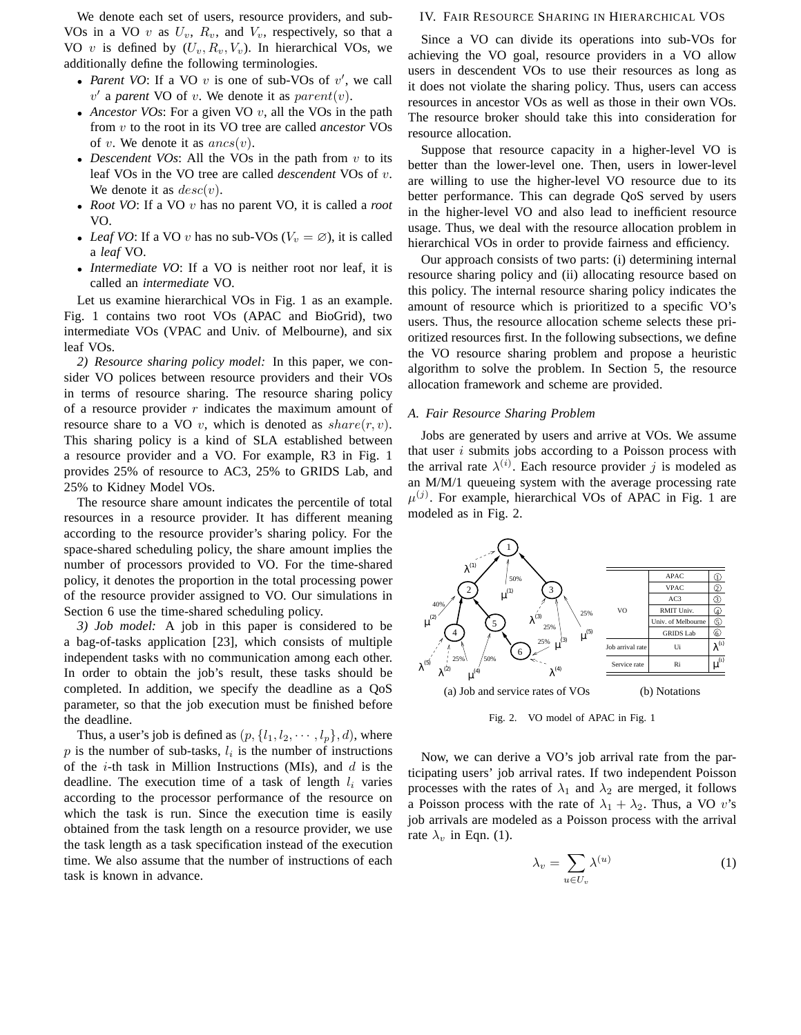We denote each set of users, resource providers, and sub-VOs in a VO v as  $U_v$ ,  $R_v$ , and  $V_v$ , respectively, so that a VO v is defined by  $(U_v, R_v, V_v)$ . In hierarchical VOs, we additionally define the following terminologies.

- *Parent VO*: If a VO  $v$  is one of sub-VOs of  $v'$ , we call  $v'$  a *parent* VO of v. We denote it as  $parent(v)$ .
- *Ancestor VOs*: For a given VO v, all the VOs in the path from v to the root in its VO tree are called *ancestor* VOs of v. We denote it as  $ancs(v)$ .
- *Descendent VOs*: All the VOs in the path from v to its leaf VOs in the VO tree are called *descendent* VOs of v. We denote it as  $desc(v)$ .
- *Root VO*: If a VO v has no parent VO, it is called a *root* VO.
- *Leaf VO*: If a VO v has no sub-VOs ( $V_v = \emptyset$ ), it is called a *leaf* VO.
- *Intermediate VO*: If a VO is neither root nor leaf, it is called an *intermediate* VO.

Let us examine hierarchical VOs in Fig. 1 as an example. Fig. 1 contains two root VOs (APAC and BioGrid), two intermediate VOs (VPAC and Univ. of Melbourne), and six leaf VOs.

*2) Resource sharing policy model:* In this paper, we consider VO polices between resource providers and their VOs in terms of resource sharing. The resource sharing policy of a resource provider  $r$  indicates the maximum amount of resource share to a VO v, which is denoted as  $share(r, v)$ . This sharing policy is a kind of SLA established between a resource provider and a VO. For example, R3 in Fig. 1 provides 25% of resource to AC3, 25% to GRIDS Lab, and 25% to Kidney Model VOs.

The resource share amount indicates the percentile of total resources in a resource provider. It has different meaning according to the resource provider's sharing policy. For the space-shared scheduling policy, the share amount implies the number of processors provided to VO. For the time-shared policy, it denotes the proportion in the total processing power of the resource provider assigned to VO. Our simulations in Section 6 use the time-shared scheduling policy.

*3) Job model:* A job in this paper is considered to be a bag-of-tasks application [23], which consists of multiple independent tasks with no communication among each other. In order to obtain the job's result, these tasks should be completed. In addition, we specify the deadline as a QoS parameter, so that the job execution must be finished before the deadline.

Thus, a user's job is defined as  $(p, \{l_1, l_2, \dots, l_p\}, d)$ , where  $p$  is the number of sub-tasks,  $l_i$  is the number of instructions of the  $i$ -th task in Million Instructions (MIs), and  $d$  is the deadline. The execution time of a task of length  $l_i$  varies according to the processor performance of the resource on which the task is run. Since the execution time is easily obtained from the task length on a resource provider, we use the task length as a task specification instead of the execution time. We also assume that the number of instructions of each task is known in advance.

### IV. FAIR RESOURCE SHARING IN HIERARCHICAL VOS

Since a VO can divide its operations into sub-VOs for achieving the VO goal, resource providers in a VO allow users in descendent VOs to use their resources as long as it does not violate the sharing policy. Thus, users can access resources in ancestor VOs as well as those in their own VOs. The resource broker should take this into consideration for resource allocation.

Suppose that resource capacity in a higher-level VO is better than the lower-level one. Then, users in lower-level are willing to use the higher-level VO resource due to its better performance. This can degrade QoS served by users in the higher-level VO and also lead to inefficient resource usage. Thus, we deal with the resource allocation problem in hierarchical VOs in order to provide fairness and efficiency.

Our approach consists of two parts: (i) determining internal resource sharing policy and (ii) allocating resource based on this policy. The internal resource sharing policy indicates the amount of resource which is prioritized to a specific VO's users. Thus, the resource allocation scheme selects these prioritized resources first. In the following subsections, we define the VO resource sharing problem and propose a heuristic algorithm to solve the problem. In Section 5, the resource allocation framework and scheme are provided.

## *A. Fair Resource Sharing Problem*

Jobs are generated by users and arrive at VOs. We assume that user  $i$  submits jobs according to a Poisson process with the arrival rate  $\lambda^{(i)}$ . Each resource provider j is modeled as an M/M/1 queueing system with the average processing rate  $\mu^{(j)}$ . For example, hierarchical VOs of APAC in Fig. 1 are modeled as in Fig. 2.



Fig. 2. VO model of APAC in Fig. 1

Now, we can derive a VO's job arrival rate from the participating users' job arrival rates. If two independent Poisson processes with the rates of  $\lambda_1$  and  $\lambda_2$  are merged, it follows a Poisson process with the rate of  $\lambda_1 + \lambda_2$ . Thus, a VO v's job arrivals are modeled as a Poisson process with the arrival rate  $\lambda_v$  in Eqn. (1).

$$
\lambda_v = \sum_{u \in U_v} \lambda^{(u)} \tag{1}
$$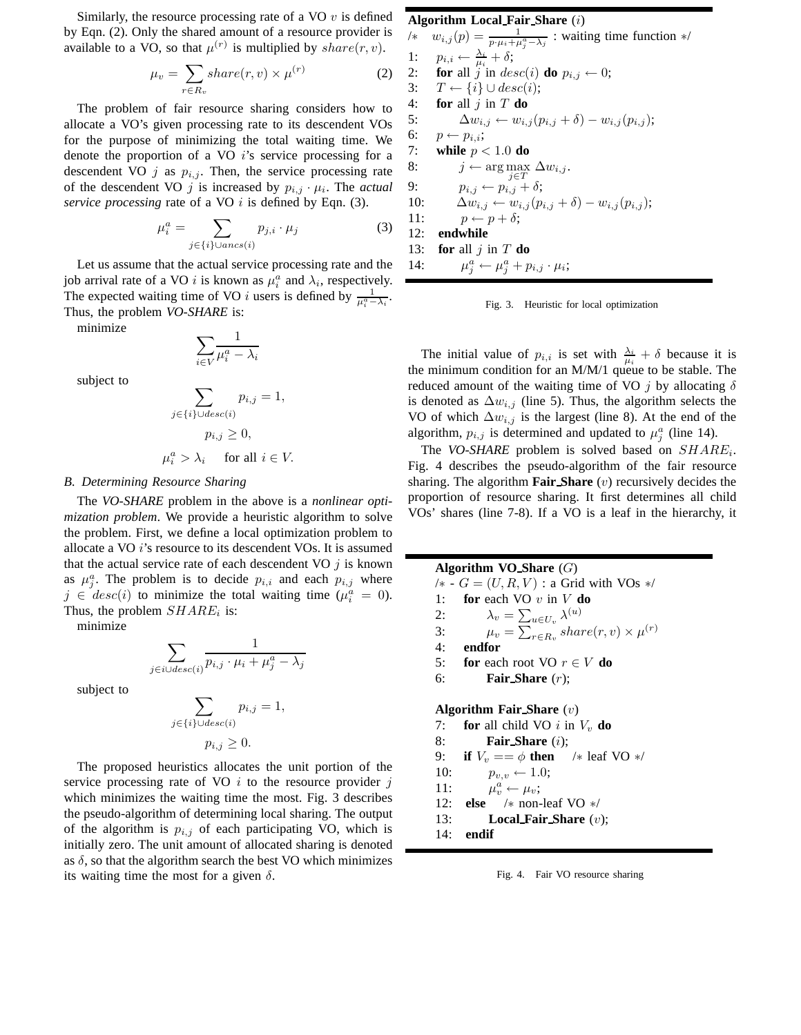Similarly, the resource processing rate of a VO  $v$  is defined by Eqn. (2). Only the shared amount of a resource provider is available to a VO, so that  $\mu^{(r)}$  is multiplied by  $share(r, v)$ .

$$
\mu_v = \sum_{r \in R_v} share(r, v) \times \mu^{(r)} \tag{2}
$$

The problem of fair resource sharing considers how to allocate a VO's given processing rate to its descendent VOs for the purpose of minimizing the total waiting time. We denote the proportion of a VO  $i$ 's service processing for a descendent VO  $j$  as  $p_{i,j}$ . Then, the service processing rate of the descendent VO  $j$  is increased by  $p_{i,j} \cdot \mu_i$ . The *actual service processing* rate of a VO i is defined by Eqn. (3).

$$
\mu_i^a = \sum_{j \in \{i\} \cup ans(i)} p_{j,i} \cdot \mu_j \tag{3}
$$

Let us assume that the actual service processing rate and the job arrival rate of a VO *i* is known as  $\mu_i^a$  and  $\lambda_i$ , respectively. The expected waiting time of VO *i* users is defined by  $\frac{1}{\mu_i^a - \lambda_i}$ . Thus, the problem *VO-SHARE* is:

minimize

$$
\sum_{i\in V} \frac{1}{\mu_i^a - \lambda_i}
$$

subject to

$$
\sum_{j \in \{i\} \cup desc(i)} p_{i,j} = 1,
$$
  
\n
$$
p_{i,j} \ge 0,
$$
  
\n
$$
\mu_i^a > \lambda_i \quad \text{for all } i \in V.
$$

## *B. Determining Resource Sharing*

The *VO-SHARE* problem in the above is a *nonlinear optimization problem*. We provide a heuristic algorithm to solve the problem. First, we define a local optimization problem to allocate a VO i's resource to its descendent VOs. It is assumed that the actual service rate of each descendent  $VO$  *j* is known as  $\mu_j^a$ . The problem is to decide  $p_{i,i}$  and each  $p_{i,j}$  where  $j \in desc(i)$  to minimize the total waiting time  $(\mu_i^a = 0)$ . Thus, the problem  $SHARE_i$  is:

minimize

$$
\sum_{j \in i \cup desc(i)} \frac{1}{p_{i,j} \cdot \mu_i + \mu_j^a - \lambda_j}
$$

subject to

$$
\sum_{j \in \{i\} \cup desc(i)} p_{i,j} = 1,
$$
  

$$
p_{i,j} \ge 0.
$$

The proposed heuristics allocates the unit portion of the service processing rate of VO  $i$  to the resource provider  $j$ which minimizes the waiting time the most. Fig. 3 describes the pseudo-algorithm of determining local sharing. The output of the algorithm is  $p_{i,j}$  of each participating VO, which is initially zero. The unit amount of allocated sharing is denoted as  $\delta$ , so that the algorithm search the best VO which minimizes its waiting time the most for a given  $\delta$ .

# **Algorithm Local Fair Share** (i)

 $\psi^* w_{i,j}(p) = \frac{1}{p \cdot \mu_i + \mu_j^a - \lambda_j}$ : waiting time function \*/ 1:  $p_{i,i} \leftarrow \frac{\lambda_i}{\mu_i} + \delta;$ 2: **for** all j in  $desc(i)$  **do**  $p_{i,j} \leftarrow 0$ ; 3:  $T \leftarrow \{i\} \cup desc(i);$ 4: **for** all  $j$  in  $T$  **do** 5:  $\Delta w_{i,j} \leftarrow w_{i,j} (p_{i,j} + \delta) - w_{i,j} (p_{i,j});$ 6:  $p \leftarrow p_{i,i};$ 7: **while** p < 1.0 **do** 8:  $j \leftarrow \arg \max_{j \in T} \Delta w_{i,j}.$ 9:  $p_{i,j} \leftarrow p_{i,j} + \delta;$ 10:  $\Delta w_{i,j} \leftarrow w_{i,j} (p_{i,j} + \delta) - w_{i,j} (p_{i,j});$ 11:  $p \leftarrow p + \delta$ ; 12: **endwhile** 13: **for** all  $j$  in  $T$  **do** 14: µ  $a_j^a \leftarrow \mu_j^a + p_{i,j} \cdot \mu_i;$ 

Fig. 3. Heuristic for local optimization

The initial value of  $p_{i,i}$  is set with  $\frac{\lambda_i}{\mu_i} + \delta$  because it is the minimum condition for an M/M/1 queue to be stable. The reduced amount of the waiting time of VO j by allocating  $\delta$ is denoted as  $\Delta w_{i,j}$  (line 5). Thus, the algorithm selects the VO of which  $\Delta w_{i,j}$  is the largest (line 8). At the end of the algorithm,  $p_{i,j}$  is determined and updated to  $\mu_j^a$  (line 14).

The  $VO-SHARE$  problem is solved based on  $SHARE_i$ . Fig. 4 describes the pseudo-algorithm of the fair resource sharing. The algorithm **Fair Share** (v) recursively decides the proportion of resource sharing. It first determines all child VOs' shares (line 7-8). If a VO is a leaf in the hierarchy, it

**Algorithm VO Share** (G) /∗ -  $G = (U, R, V)$ : a Grid with VOs \*/ 1: **for** each VO v in V **do** 2:  $\lambda_v = \sum_{u \in U_v} \lambda^{(u)}$ 3:  $\mu_v = \sum_{r \in R_v} share(r, v) \times \mu^{(r)}$ 4: **endfor** 5: **for** each root VO  $r \in V$  **do** 6: **Fair Share** (r); **Algorithm Fair Share** (v) 7: **for** all child VO i in  $V_v$  **do** 8: **Fair Share** (i); 9: **if**  $V_v == \phi$  **then** /\* leaf VO \*/ 10:  $p_{v,v} \leftarrow 1.0;$  $11:$  $v^a_v \leftarrow \mu_v;$ 12: **else** /∗ non-leaf VO ∗/

13: **Local Fair Share** (v); 14: **endif**

$$
14: \quad \mathbf{en}
$$

Fig. 4. Fair VO resource sharing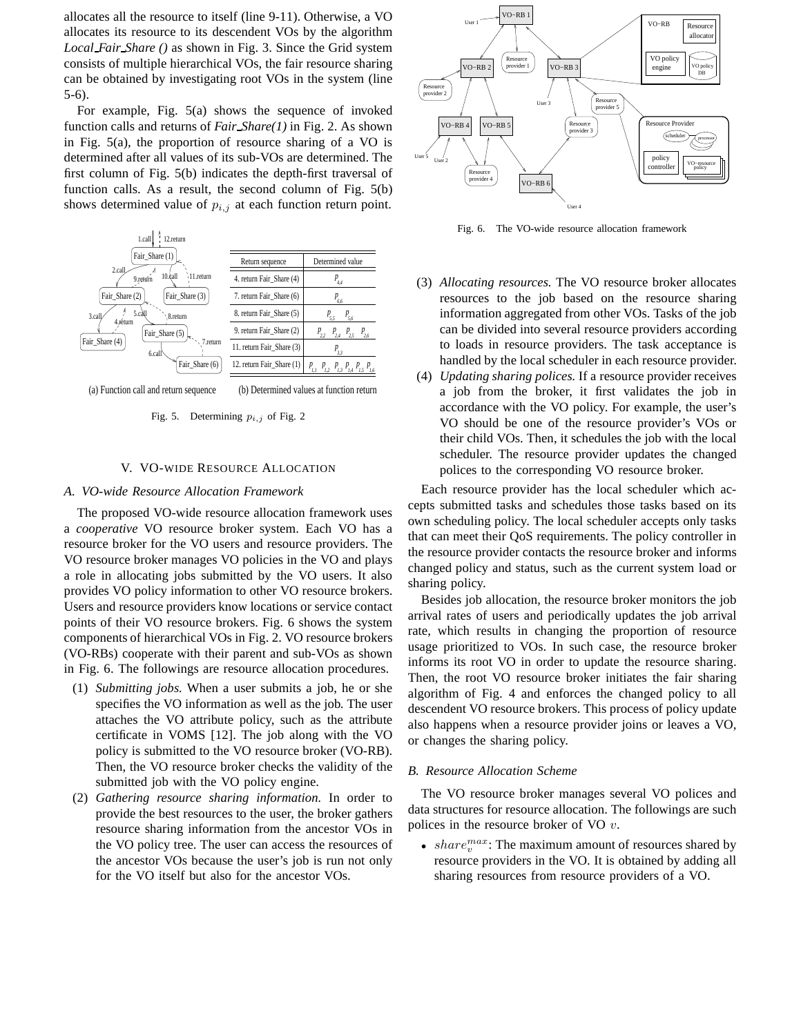allocates all the resource to itself (line 9-11). Otherwise, a VO allocates its resource to its descendent VOs by the algorithm *Local Fair Share ()* as shown in Fig. 3. Since the Grid system consists of multiple hierarchical VOs, the fair resource sharing can be obtained by investigating root VOs in the system (line 5-6).

For example, Fig. 5(a) shows the sequence of invoked function calls and returns of *Fair Share(1)* in Fig. 2. As shown in Fig. 5(a), the proportion of resource sharing of a VO is determined after all values of its sub-VOs are determined. The first column of Fig. 5(b) indicates the depth-first traversal of function calls. As a result, the second column of Fig. 5(b) shows determined value of  $p_{i,j}$  at each function return point.



# (b) Determined values at function return

Fig. 5. Determining  $p_{i,j}$  of Fig. 2

## V. VO-WIDE RESOURCE ALLOCATION

#### *A. VO-wide Resource Allocation Framework*

The proposed VO-wide resource allocation framework uses a *cooperative* VO resource broker system. Each VO has a resource broker for the VO users and resource providers. The VO resource broker manages VO policies in the VO and plays a role in allocating jobs submitted by the VO users. It also provides VO policy information to other VO resource brokers. Users and resource providers know locations or service contact points of their VO resource brokers. Fig. 6 shows the system components of hierarchical VOs in Fig. 2. VO resource brokers (VO-RBs) cooperate with their parent and sub-VOs as shown in Fig. 6. The followings are resource allocation procedures.

- (1) *Submitting jobs.* When a user submits a job, he or she specifies the VO information as well as the job. The user attaches the VO attribute policy, such as the attribute certificate in VOMS [12]. The job along with the VO policy is submitted to the VO resource broker (VO-RB). Then, the VO resource broker checks the validity of the submitted job with the VO policy engine.
- (2) *Gathering resource sharing information.* In order to provide the best resources to the user, the broker gathers resource sharing information from the ancestor VOs in the VO policy tree. The user can access the resources of the ancestor VOs because the user's job is run not only for the VO itself but also for the ancestor VOs.



Fig. 6. The VO-wide resource allocation framework

- (3) *Allocating resources.* The VO resource broker allocates resources to the job based on the resource sharing information aggregated from other VOs. Tasks of the job can be divided into several resource providers according to loads in resource providers. The task acceptance is handled by the local scheduler in each resource provider.
- (4) *Updating sharing polices.* If a resource provider receives a job from the broker, it first validates the job in accordance with the VO policy. For example, the user's VO should be one of the resource provider's VOs or their child VOs. Then, it schedules the job with the local scheduler. The resource provider updates the changed polices to the corresponding VO resource broker.

Each resource provider has the local scheduler which accepts submitted tasks and schedules those tasks based on its own scheduling policy. The local scheduler accepts only tasks that can meet their QoS requirements. The policy controller in the resource provider contacts the resource broker and informs changed policy and status, such as the current system load or sharing policy.

Besides job allocation, the resource broker monitors the job arrival rates of users and periodically updates the job arrival rate, which results in changing the proportion of resource usage prioritized to VOs. In such case, the resource broker informs its root VO in order to update the resource sharing. Then, the root VO resource broker initiates the fair sharing algorithm of Fig. 4 and enforces the changed policy to all descendent VO resource brokers. This process of policy update also happens when a resource provider joins or leaves a VO, or changes the sharing policy.

## *B. Resource Allocation Scheme*

The VO resource broker manages several VO polices and data structures for resource allocation. The followings are such polices in the resource broker of VO  $v$ .

•  $share_v^{max}$ : The maximum amount of resources shared by resource providers in the VO. It is obtained by adding all sharing resources from resource providers of a VO.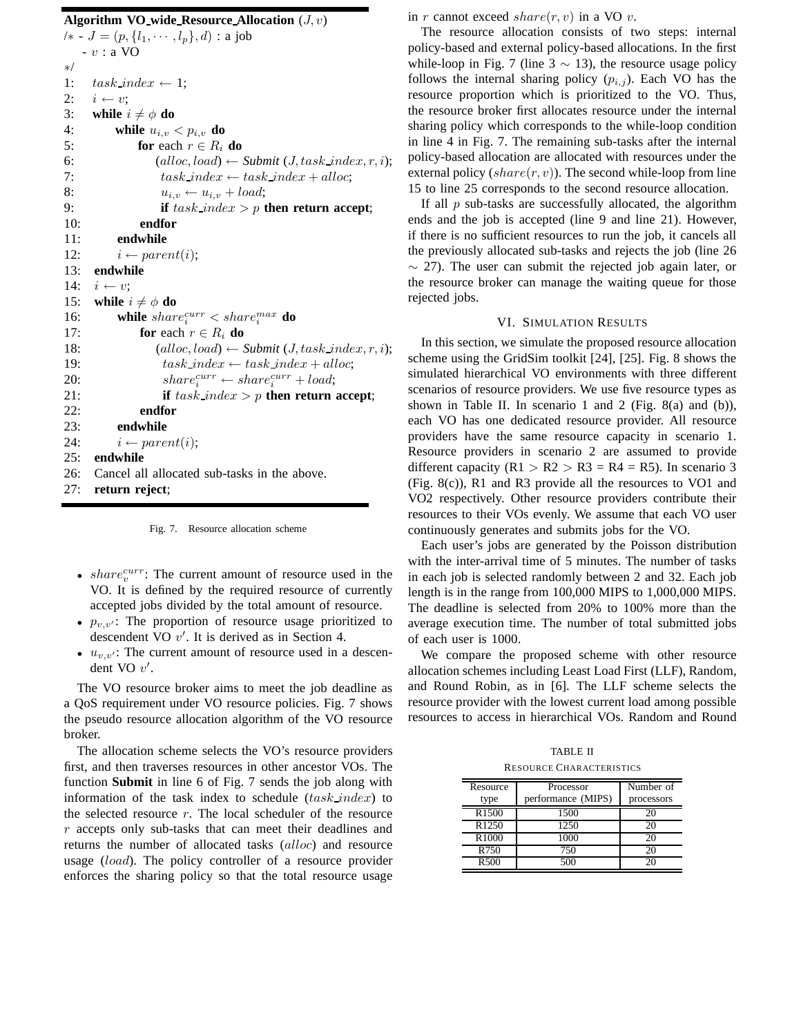**Algorithm VO wide Resource Allocation** (J, v)

/∗ -  $J = (p, \{l_1, \dots, l_p\}, d)$ : a job - v : a VO ∗/ 1:  $task\_index \leftarrow 1;$ 2:  $i \leftarrow v$ ; 3: **while**  $i \neq \phi$  **do** 4: **while**  $u_{i,v} < p_{i,v}$  do 5: **for** each  $r \in R_i$  **do** 6:  $\text{(alloc, load)} \leftarrow \text{Submit } (J, task\_index, r, i);$ 7:  $task\_index \leftarrow task\_index +alloc;$ 8:  $u_{i,v} \leftarrow u_{i,v} + load;$ 9: **if** task index > p **then return accept**; 10: **endfor** 11: **endwhile** 12:  $i \leftarrow parent(i);$ 13: **endwhile** 14:  $i \leftarrow v$ ; 15: **while**  $i \neq \phi$  **do** 16: **while**  $share_i^{curr} < share_i^{max}$  **do** 17: **for** each  $r \in R_i$  **do** 18:  $(alloc, load) \leftarrow \text{Submit } (J, task\_index, r, i);$ 19:  $task\_index \leftarrow task\_index +alloc;$ 20:  $share_i^{curr} \leftarrow share_i^{curr} + load;$ 21: **if** task index > p **then return accept**; 22: **endfor** 23: **endwhile** 24:  $i \leftarrow parent(i);$ 25: **endwhile** 26: Cancel all allocated sub-tasks in the above. 27: **return reject**;

| Fig. 7. | Resource allocation scheme |  |
|---------|----------------------------|--|
|         |                            |  |

- share<sup>curr</sup>: The current amount of resource used in the VO. It is defined by the required resource of currently accepted jobs divided by the total amount of resource.
- $p_{v,v'}$ : The proportion of resource usage prioritized to descendent VO  $v'$ . It is derived as in Section 4.
- $u_{v,v'}$ : The current amount of resource used in a descendent VO  $v'$ .

The VO resource broker aims to meet the job deadline as a QoS requirement under VO resource policies. Fig. 7 shows the pseudo resource allocation algorithm of the VO resource broker.

The allocation scheme selects the VO's resource providers first, and then traverses resources in other ancestor VOs. The function **Submit** in line 6 of Fig. 7 sends the job along with information of the task index to schedule (task index) to the selected resource  $r$ . The local scheduler of the resource r accepts only sub-tasks that can meet their deadlines and returns the number of allocated tasks (alloc) and resource usage (load). The policy controller of a resource provider enforces the sharing policy so that the total resource usage in r cannot exceed  $share(r, v)$  in a VO v.

The resource allocation consists of two steps: internal policy-based and external policy-based allocations. In the first while-loop in Fig. 7 (line  $3 \sim 13$ ), the resource usage policy follows the internal sharing policy  $(p_{i,j})$ . Each VO has the resource proportion which is prioritized to the VO. Thus, the resource broker first allocates resource under the internal sharing policy which corresponds to the while-loop condition in line 4 in Fig. 7. The remaining sub-tasks after the internal policy-based allocation are allocated with resources under the external policy  $(share(r, v))$ . The second while-loop from line 15 to line 25 corresponds to the second resource allocation.

If all  $p$  sub-tasks are successfully allocated, the algorithm ends and the job is accepted (line 9 and line 21). However, if there is no sufficient resources to run the job, it cancels all the previously allocated sub-tasks and rejects the job (line 26  $\sim$  27). The user can submit the rejected job again later, or the resource broker can manage the waiting queue for those rejected jobs.

# VI. SIMULATION RESULTS

In this section, we simulate the proposed resource allocation scheme using the GridSim toolkit [24], [25]. Fig. 8 shows the simulated hierarchical VO environments with three different scenarios of resource providers. We use five resource types as shown in Table II. In scenario 1 and 2 (Fig. 8(a) and (b)), each VO has one dedicated resource provider. All resource providers have the same resource capacity in scenario 1. Resource providers in scenario 2 are assumed to provide different capacity ( $R1 > R2 > R3 = R4 = R5$ ). In scenario 3 (Fig. 8(c)), R1 and R3 provide all the resources to VO1 and VO2 respectively. Other resource providers contribute their resources to their VOs evenly. We assume that each VO user continuously generates and submits jobs for the VO.

Each user's jobs are generated by the Poisson distribution with the inter-arrival time of 5 minutes. The number of tasks in each job is selected randomly between 2 and 32. Each job length is in the range from 100,000 MIPS to 1,000,000 MIPS. The deadline is selected from 20% to 100% more than the average execution time. The number of total submitted jobs of each user is 1000.

We compare the proposed scheme with other resource allocation schemes including Least Load First (LLF), Random, and Round Robin, as in [6]. The LLF scheme selects the resource provider with the lowest current load among possible resources to access in hierarchical VOs. Random and Round

TABLE II RESOURCE CHARACTERISTICS

| Resource          | Processor          | Number of  |
|-------------------|--------------------|------------|
| type              | performance (MIPS) | processors |
| R <sub>1500</sub> | 1500               | 20         |
| R <sub>1250</sub> | 1250               | 20         |
| R <sub>1000</sub> | 1000               | 20         |
| R750              | 750                | 20         |
| R <sub>500</sub>  | 500                | 20         |
|                   |                    |            |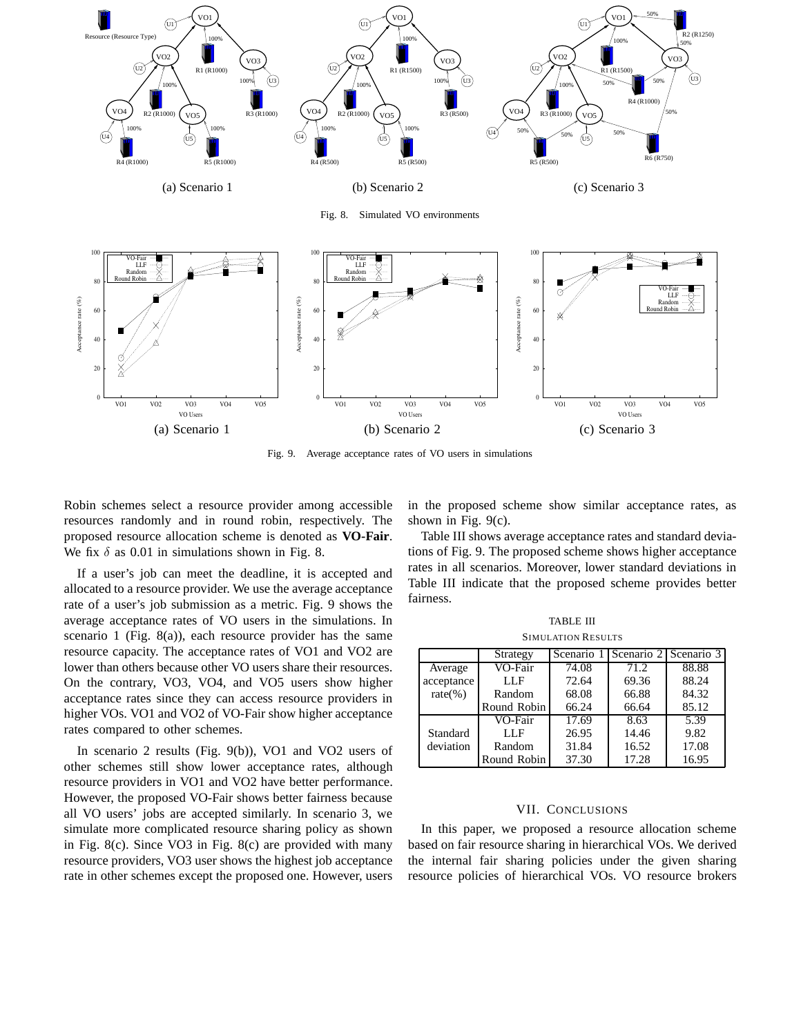

Fig. 9. Average acceptance rates of VO users in simulations

Robin schemes select a resource provider among accessible resources randomly and in round robin, respectively. The proposed resource allocation scheme is denoted as **VO-Fair**. We fix  $\delta$  as 0.01 in simulations shown in Fig. 8.

If a user's job can meet the deadline, it is accepted and allocated to a resource provider. We use the average acceptance rate of a user's job submission as a metric. Fig. 9 shows the average acceptance rates of VO users in the simulations. In scenario 1 (Fig. 8(a)), each resource provider has the same resource capacity. The acceptance rates of VO1 and VO2 are lower than others because other VO users share their resources. On the contrary, VO3, VO4, and VO5 users show higher acceptance rates since they can access resource providers in higher VOs. VO1 and VO2 of VO-Fair show higher acceptance rates compared to other schemes.

In scenario 2 results (Fig. 9(b)), VO1 and VO2 users of other schemes still show lower acceptance rates, although resource providers in VO1 and VO2 have better performance. However, the proposed VO-Fair shows better fairness because all VO users' jobs are accepted similarly. In scenario 3, we simulate more complicated resource sharing policy as shown in Fig. 8(c). Since VO3 in Fig. 8(c) are provided with many resource providers, VO3 user shows the highest job acceptance rate in other schemes except the proposed one. However, users in the proposed scheme show similar acceptance rates, as shown in Fig. 9(c).

Table III shows average acceptance rates and standard deviations of Fig. 9. The proposed scheme shows higher acceptance rates in all scenarios. Moreover, lower standard deviations in Table III indicate that the proposed scheme provides better fairness.

TABLE III SIMULATION RESULTS

|              | Strategy    | Scenario 1 | Scenario 2   Scenario 3 |       |
|--------------|-------------|------------|-------------------------|-------|
| Average      | VO-Fair     | 74.08      | 71.2                    | 88.88 |
| acceptance   | LLF         | 72.64      | 69.36                   | 88.24 |
| rate $(\% )$ | Random      | 68.08      | 66.88                   | 84.32 |
|              | Round Robin | 66.24      | 66.64                   | 85.12 |
|              | VO-Fair     | 17.69      | 8.63                    | 5.39  |
| Standard     | LLF         | 26.95      | 14.46                   | 9.82  |
| deviation    | Random      | 31.84      | 16.52                   | 17.08 |
|              | Round Robin | 37.30      | 17.28                   | 16.95 |

#### VII. CONCLUSIONS

In this paper, we proposed a resource allocation scheme based on fair resource sharing in hierarchical VOs. We derived the internal fair sharing policies under the given sharing resource policies of hierarchical VOs. VO resource brokers